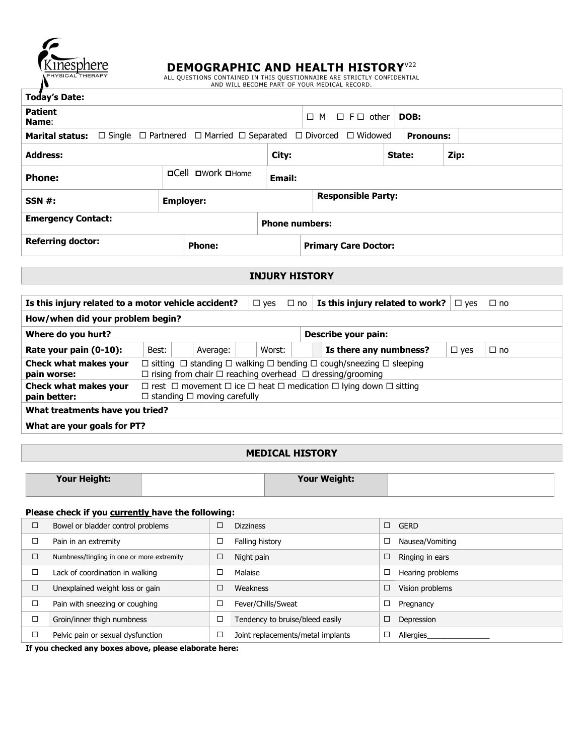

**DEMOGRAPHIC AND HEALTH HISTORY**<sup>V22</sup><br>ALL QUESTIONS CONTAINED IN THIS QUESTIONNAIRE ARE STRICTLY CONFIDENTIAL<br>AND WILL BECOME PART OF YOUR MEDICAL RECORD.

| <b>Today's Date:</b>                                                                                                 |                          |                             |                                      |                  |      |  |  |  |
|----------------------------------------------------------------------------------------------------------------------|--------------------------|-----------------------------|--------------------------------------|------------------|------|--|--|--|
| <b>Patient</b><br>Name:                                                                                              |                          |                             | $M \square F\square$ other<br>$\Box$ | DOB:             |      |  |  |  |
| <b>Marital status:</b> $\Box$ Single $\Box$ Partnered $\Box$ Married $\Box$ Separated $\Box$ Divorced $\Box$ Widowed |                          |                             |                                      | <b>Pronouns:</b> |      |  |  |  |
| <b>Address:</b>                                                                                                      |                          | City:                       |                                      | State:           | Zip: |  |  |  |
| <b>Phone:</b>                                                                                                        | <b>OCell OWork OHome</b> | <b>Email:</b>               |                                      |                  |      |  |  |  |
| SSN #:                                                                                                               | <b>Employer:</b>         |                             | <b>Responsible Party:</b>            |                  |      |  |  |  |
| <b>Emergency Contact:</b>                                                                                            |                          | <b>Phone numbers:</b>       |                                      |                  |      |  |  |  |
| <b>Referring doctor:</b>                                                                                             |                          | <b>Primary Care Doctor:</b> |                                      |                  |      |  |  |  |

# **INJURY HISTORY**

| Is this injury related to a motor vehicle accident? |                                                                                                                                                                                  |          | $\Box$ yes | $\Box$ no | Is this injury related to work? |            | ⊟ no      |  |  |  |
|-----------------------------------------------------|----------------------------------------------------------------------------------------------------------------------------------------------------------------------------------|----------|------------|-----------|---------------------------------|------------|-----------|--|--|--|
| How/when did your problem begin?                    |                                                                                                                                                                                  |          |            |           |                                 |            |           |  |  |  |
| Where do you hurt?<br>Describe your pain:           |                                                                                                                                                                                  |          |            |           |                                 |            |           |  |  |  |
| Rate your pain (0-10):                              | Best:                                                                                                                                                                            | Average: | Worst:     |           | Is there any numbness?          | $\Box$ yes | $\Box$ no |  |  |  |
| Check what makes your<br>pain worse:                | $\Box$ sitting $\Box$ standing $\Box$ walking $\Box$ bending $\Box$ cough/sneezing $\Box$ sleeping<br>$\Box$ rising from chair $\Box$ reaching overhead $\Box$ dressing/grooming |          |            |           |                                 |            |           |  |  |  |
| Check what makes your<br>pain better:               | $\Box$ rest $\Box$ movement $\Box$ ice $\Box$ heat $\Box$ medication $\Box$ lying down $\Box$ sitting<br>$\Box$ standing $\Box$ moving carefully                                 |          |            |           |                                 |            |           |  |  |  |
| What treatments have you tried?                     |                                                                                                                                                                                  |          |            |           |                                 |            |           |  |  |  |
| What are your goals for PT?                         |                                                                                                                                                                                  |          |            |           |                                 |            |           |  |  |  |

## **MEDICAL HISTORY**

| Your Height: | Your Weight: |  |
|--------------|--------------|--|
|              |              |  |

#### **Please check if you currently have the following:**

| ப | Bowel or bladder control problems          |   | <b>Dizziness</b>                  |   | <b>GERD</b>      |
|---|--------------------------------------------|---|-----------------------------------|---|------------------|
|   | Pain in an extremity                       | □ | Falling history                   |   | Nausea/Vomiting  |
|   | Numbness/tingling in one or more extremity | □ | Night pain                        | ∟ | Ringing in ears  |
|   | Lack of coordination in walking            |   | Malaise                           |   | Hearing problems |
| □ | Unexplained weight loss or gain            |   | Weakness                          | □ | Vision problems  |
|   | Pain with sneezing or coughing             |   | Fever/Chills/Sweat                | ⊏ | Pregnancy        |
|   | Groin/inner thigh numbness                 | □ | Tendency to bruise/bleed easily   | ⊏ | Depression       |
|   | Pelvic pain or sexual dysfunction          | □ | Joint replacements/metal implants |   | Allergies        |

**If you checked any boxes above, please elaborate here:**